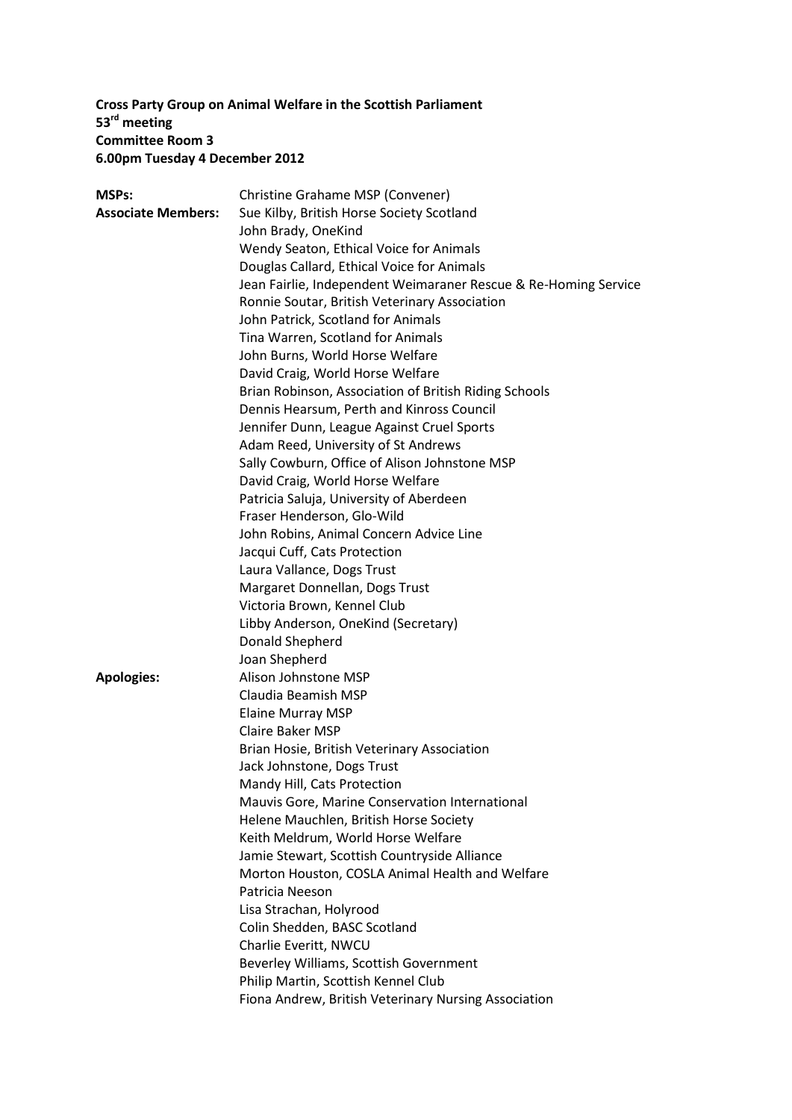# **Cross Party Group on Animal Welfare in the Scottish Parliament 53rd meeting Committee Room 3 6.00pm Tuesday 4 December 2012**

| <b>MSPs:</b>              | Christine Grahame MSP (Convener)                                |
|---------------------------|-----------------------------------------------------------------|
| <b>Associate Members:</b> | Sue Kilby, British Horse Society Scotland                       |
|                           | John Brady, OneKind                                             |
|                           | Wendy Seaton, Ethical Voice for Animals                         |
|                           | Douglas Callard, Ethical Voice for Animals                      |
|                           | Jean Fairlie, Independent Weimaraner Rescue & Re-Homing Service |
|                           | Ronnie Soutar, British Veterinary Association                   |
|                           | John Patrick, Scotland for Animals                              |
|                           | Tina Warren, Scotland for Animals                               |
|                           | John Burns, World Horse Welfare                                 |
|                           | David Craig, World Horse Welfare                                |
|                           | Brian Robinson, Association of British Riding Schools           |
|                           | Dennis Hearsum, Perth and Kinross Council                       |
|                           | Jennifer Dunn, League Against Cruel Sports                      |
|                           | Adam Reed, University of St Andrews                             |
|                           | Sally Cowburn, Office of Alison Johnstone MSP                   |
|                           | David Craig, World Horse Welfare                                |
|                           | Patricia Saluja, University of Aberdeen                         |
|                           | Fraser Henderson, Glo-Wild                                      |
|                           | John Robins, Animal Concern Advice Line                         |
|                           | Jacqui Cuff, Cats Protection                                    |
|                           | Laura Vallance, Dogs Trust                                      |
|                           | Margaret Donnellan, Dogs Trust                                  |
|                           | Victoria Brown, Kennel Club                                     |
|                           | Libby Anderson, OneKind (Secretary)                             |
|                           | Donald Shepherd                                                 |
|                           | Joan Shepherd                                                   |
| <b>Apologies:</b>         | Alison Johnstone MSP                                            |
|                           | Claudia Beamish MSP                                             |
|                           | <b>Elaine Murray MSP</b>                                        |
|                           | <b>Claire Baker MSP</b>                                         |
|                           | Brian Hosie, British Veterinary Association                     |
|                           | Jack Johnstone, Dogs Trust                                      |
|                           | Mandy Hill, Cats Protection                                     |
|                           | Mauvis Gore, Marine Conservation International                  |
|                           | Helene Mauchlen, British Horse Society                          |
|                           | Keith Meldrum, World Horse Welfare                              |
|                           | Jamie Stewart, Scottish Countryside Alliance                    |
|                           | Morton Houston, COSLA Animal Health and Welfare                 |
|                           | Patricia Neeson                                                 |
|                           | Lisa Strachan, Holyrood                                         |
|                           | Colin Shedden, BASC Scotland                                    |
|                           | Charlie Everitt, NWCU                                           |
|                           | Beverley Williams, Scottish Government                          |
|                           | Philip Martin, Scottish Kennel Club                             |
|                           | Fiona Andrew, British Veterinary Nursing Association            |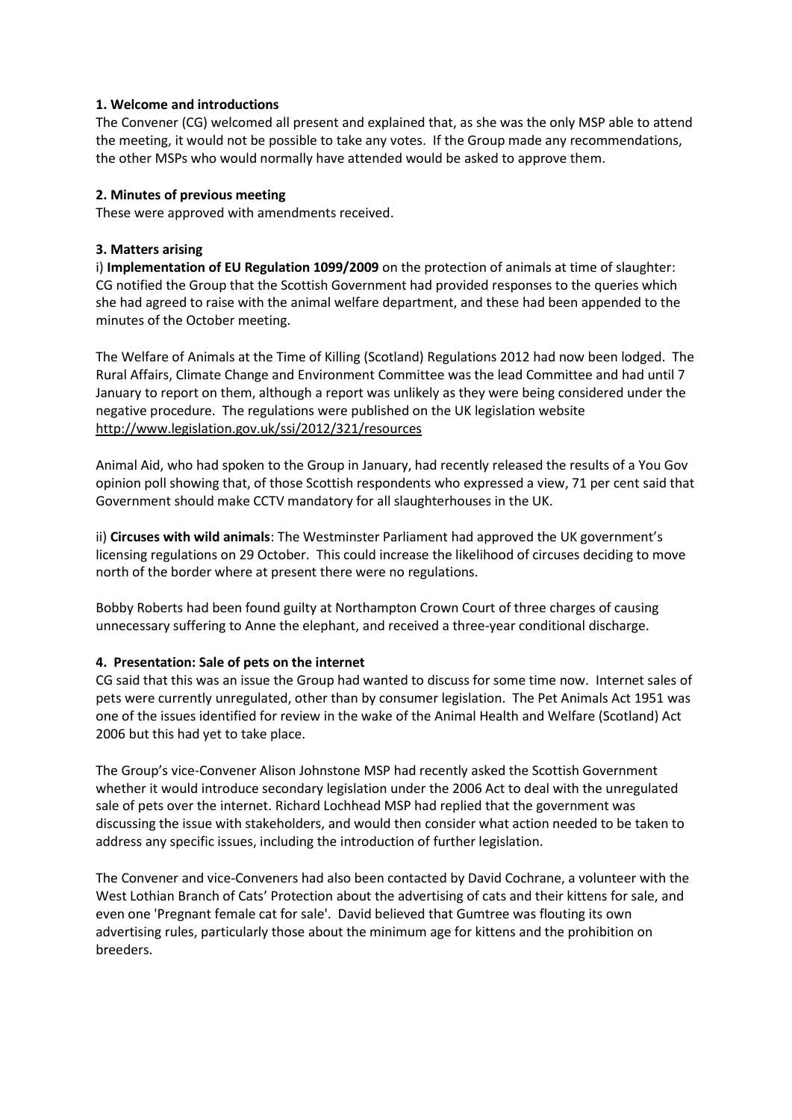### **1. Welcome and introductions**

The Convener (CG) welcomed all present and explained that, as she was the only MSP able to attend the meeting, it would not be possible to take any votes. If the Group made any recommendations, the other MSPs who would normally have attended would be asked to approve them.

### **2. Minutes of previous meeting**

These were approved with amendments received.

## **3. Matters arising**

i) **Implementation of EU Regulation 1099/2009** on the protection of animals at time of slaughter: CG notified the Group that the Scottish Government had provided responses to the queries which she had agreed to raise with the animal welfare department, and these had been appended to the minutes of the October meeting.

The Welfare of Animals at the Time of Killing (Scotland) Regulations 2012 had now been lodged. The Rural Affairs, Climate Change and Environment Committee was the lead Committee and had until 7 January to report on them, although a report was unlikely as they were being considered under the negative procedure. The regulations were published on the UK legislation website <http://www.legislation.gov.uk/ssi/2012/321/resources>

Animal Aid, who had spoken to the Group in January, had recently released the results of a You Gov opinion poll showing that, of those Scottish respondents who expressed a view, 71 per cent said that Government should make CCTV mandatory for all slaughterhouses in the UK.

ii) **Circuses with wild animals**: The Westminster Parliament had approved the UK government's licensing regulations on 29 October. This could increase the likelihood of circuses deciding to move north of the border where at present there were no regulations.

Bobby Roberts had been found guilty at Northampton Crown Court of three charges of causing unnecessary suffering to Anne the elephant, and received a three-year conditional discharge.

# **4. Presentation: Sale of pets on the internet**

CG said that this was an issue the Group had wanted to discuss for some time now. Internet sales of pets were currently unregulated, other than by consumer legislation. The Pet Animals Act 1951 was one of the issues identified for review in the wake of the Animal Health and Welfare (Scotland) Act 2006 but this had yet to take place.

The Group's vice-Convener Alison Johnstone MSP had recently asked the Scottish Government whether it would introduce secondary legislation under the 2006 Act to deal with the unregulated sale of pets over the internet. Richard Lochhead MSP had replied that the government was discussing the issue with stakeholders, and would then consider what action needed to be taken to address any specific issues, including the introduction of further legislation.

The Convener and vice-Conveners had also been contacted by David Cochrane, a volunteer with the West Lothian Branch of Cats' Protection about the advertising of cats and their kittens for sale, and even one 'Pregnant female cat for sale'. David believed that Gumtree was flouting its own advertising rules, particularly those about the minimum age for kittens and the prohibition on breeders.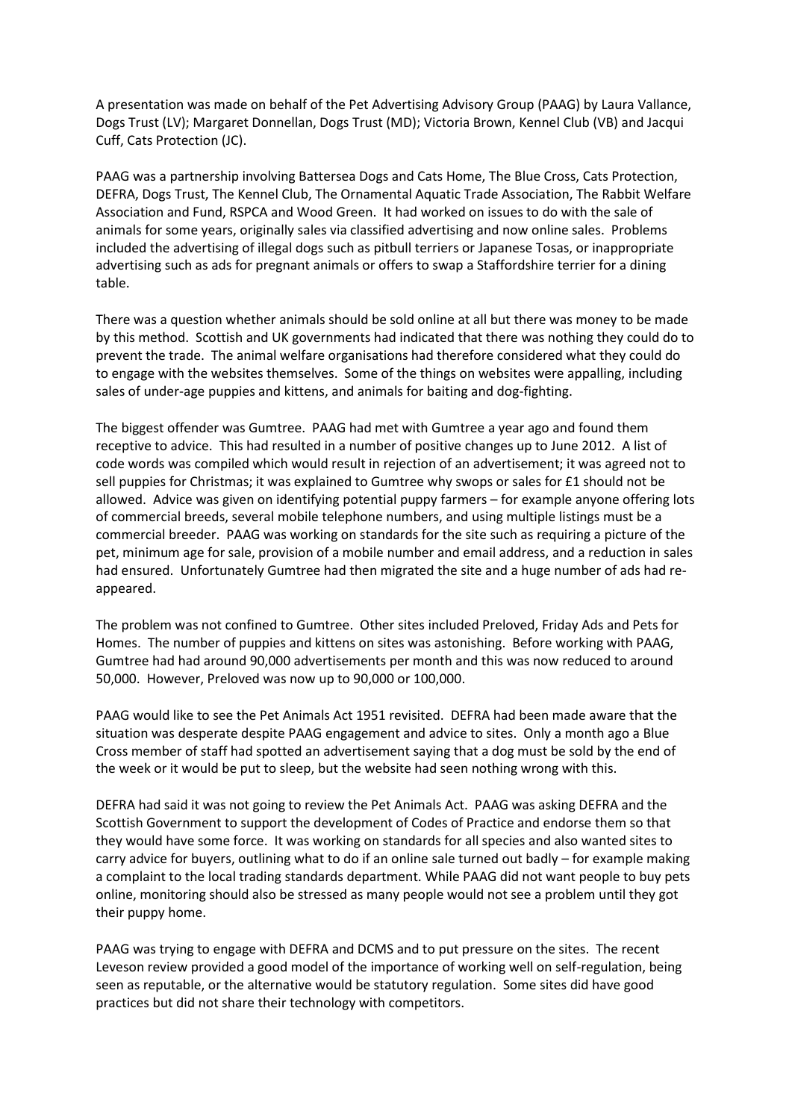A presentation was made on behalf of the Pet Advertising Advisory Group (PAAG) by Laura Vallance, Dogs Trust (LV); Margaret Donnellan, Dogs Trust (MD); Victoria Brown, Kennel Club (VB) and Jacqui Cuff, Cats Protection (JC).

PAAG was a partnership involving Battersea Dogs and Cats Home, The Blue Cross, Cats Protection, DEFRA, Dogs Trust, The Kennel Club, The Ornamental Aquatic Trade Association, The Rabbit Welfare Association and Fund, RSPCA and Wood Green. It had worked on issues to do with the sale of animals for some years, originally sales via classified advertising and now online sales. Problems included the advertising of illegal dogs such as pitbull terriers or Japanese Tosas, or inappropriate advertising such as ads for pregnant animals or offers to swap a Staffordshire terrier for a dining table.

There was a question whether animals should be sold online at all but there was money to be made by this method. Scottish and UK governments had indicated that there was nothing they could do to prevent the trade. The animal welfare organisations had therefore considered what they could do to engage with the websites themselves. Some of the things on websites were appalling, including sales of under-age puppies and kittens, and animals for baiting and dog-fighting.

The biggest offender was Gumtree. PAAG had met with Gumtree a year ago and found them receptive to advice. This had resulted in a number of positive changes up to June 2012. A list of code words was compiled which would result in rejection of an advertisement; it was agreed not to sell puppies for Christmas; it was explained to Gumtree why swops or sales for £1 should not be allowed. Advice was given on identifying potential puppy farmers – for example anyone offering lots of commercial breeds, several mobile telephone numbers, and using multiple listings must be a commercial breeder. PAAG was working on standards for the site such as requiring a picture of the pet, minimum age for sale, provision of a mobile number and email address, and a reduction in sales had ensured. Unfortunately Gumtree had then migrated the site and a huge number of ads had reappeared.

The problem was not confined to Gumtree. Other sites included Preloved, Friday Ads and Pets for Homes. The number of puppies and kittens on sites was astonishing. Before working with PAAG, Gumtree had had around 90,000 advertisements per month and this was now reduced to around 50,000. However, Preloved was now up to 90,000 or 100,000.

PAAG would like to see the Pet Animals Act 1951 revisited. DEFRA had been made aware that the situation was desperate despite PAAG engagement and advice to sites. Only a month ago a Blue Cross member of staff had spotted an advertisement saying that a dog must be sold by the end of the week or it would be put to sleep, but the website had seen nothing wrong with this.

DEFRA had said it was not going to review the Pet Animals Act. PAAG was asking DEFRA and the Scottish Government to support the development of Codes of Practice and endorse them so that they would have some force. It was working on standards for all species and also wanted sites to carry advice for buyers, outlining what to do if an online sale turned out badly – for example making a complaint to the local trading standards department. While PAAG did not want people to buy pets online, monitoring should also be stressed as many people would not see a problem until they got their puppy home.

PAAG was trying to engage with DEFRA and DCMS and to put pressure on the sites. The recent Leveson review provided a good model of the importance of working well on self-regulation, being seen as reputable, or the alternative would be statutory regulation. Some sites did have good practices but did not share their technology with competitors.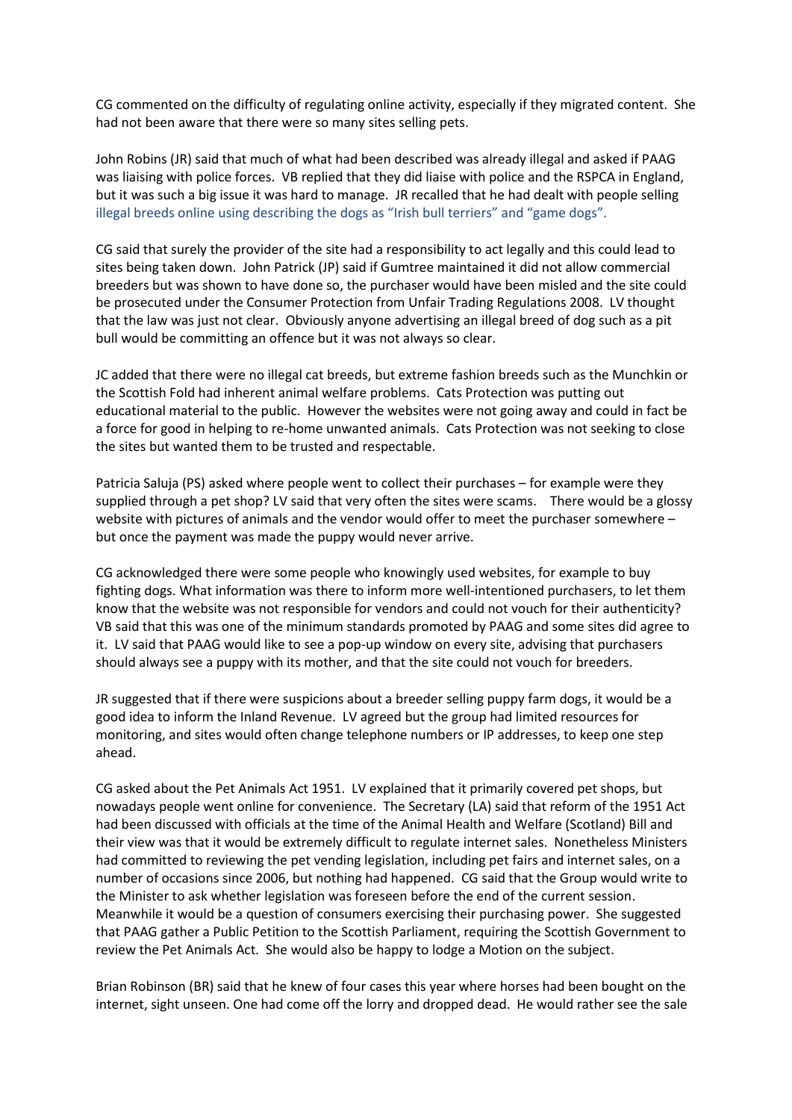CG commented on the difficulty of regulating online activity, especially if they migrated content. She had not been aware that there were so many sites selling pets.

John Robins (JR) said that much of what had been described was already illegal and asked if PAAG was liaising with police forces. VB replied that they did liaise with police and the RSPCA in England, but it was such a big issue it was hard to manage. JR recalled that he had dealt with people selling illegal breeds online using describing the dogs as "Irish bull terriers" and "game dogs".

CG said that surely the provider of the site had a responsibility to act legally and this could lead to sites being taken down. John Patrick (JP) said if Gumtree maintained it did not allow commercial breeders but was shown to have done so, the purchaser would have been misled and the site could be prosecuted under the Consumer Protection from Unfair Trading Regulations 2008. LV thought that the law was just not clear. Obviously anyone advertising an illegal breed of dog such as a pit bull would be committing an offence but it was not always so clear.

JC added that there were no illegal cat breeds, but extreme fashion breeds such as the Munchkin or the Scottish Fold had inherent animal welfare problems. Cats Protection was putting out educational material to the public. However the websites were not going away and could in fact be a force for good in helping to re-home unwanted animals. Cats Protection was not seeking to close the sites but wanted them to be trusted and respectable.

Patricia Saluja (PS) asked where people went to collect their purchases – for example were they supplied through a pet shop? LV said that very often the sites were scams. There would be a glossy website with pictures of animals and the vendor would offer to meet the purchaser somewhere – but once the payment was made the puppy would never arrive.

CG acknowledged there were some people who knowingly used websites, for example to buy fighting dogs. What information was there to inform more well-intentioned purchasers, to let them know that the website was not responsible for vendors and could not vouch for their authenticity? VB said that this was one of the minimum standards promoted by PAAG and some sites did agree to it. LV said that PAAG would like to see a pop-up window on every site, advising that purchasers should always see a puppy with its mother, and that the site could not vouch for breeders.

JR suggested that if there were suspicions about a breeder selling puppy farm dogs, it would be a good idea to inform the Inland Revenue. LV agreed but the group had limited resources for monitoring, and sites would often change telephone numbers or IP addresses, to keep one step ahead.

CG asked about the Pet Animals Act 1951. LV explained that it primarily covered pet shops, but nowadays people went online for convenience. The Secretary (LA) said that reform of the 1951 Act had been discussed with officials at the time of the Animal Health and Welfare (Scotland) Bill and their view was that it would be extremely difficult to regulate internet sales. Nonetheless Ministers had committed to reviewing the pet vending legislation, including pet fairs and internet sales, on a number of occasions since 2006, but nothing had happened. CG said that the Group would write to the Minister to ask whether legislation was foreseen before the end of the current session. Meanwhile it would be a question of consumers exercising their purchasing power. She suggested that PAAG gather a Public Petition to the Scottish Parliament, requiring the Scottish Government to review the Pet Animals Act. She would also be happy to lodge a Motion on the subject.

Brian Robinson (BR) said that he knew of four cases this year where horses had been bought on the internet, sight unseen. One had come off the lorry and dropped dead. He would rather see the sale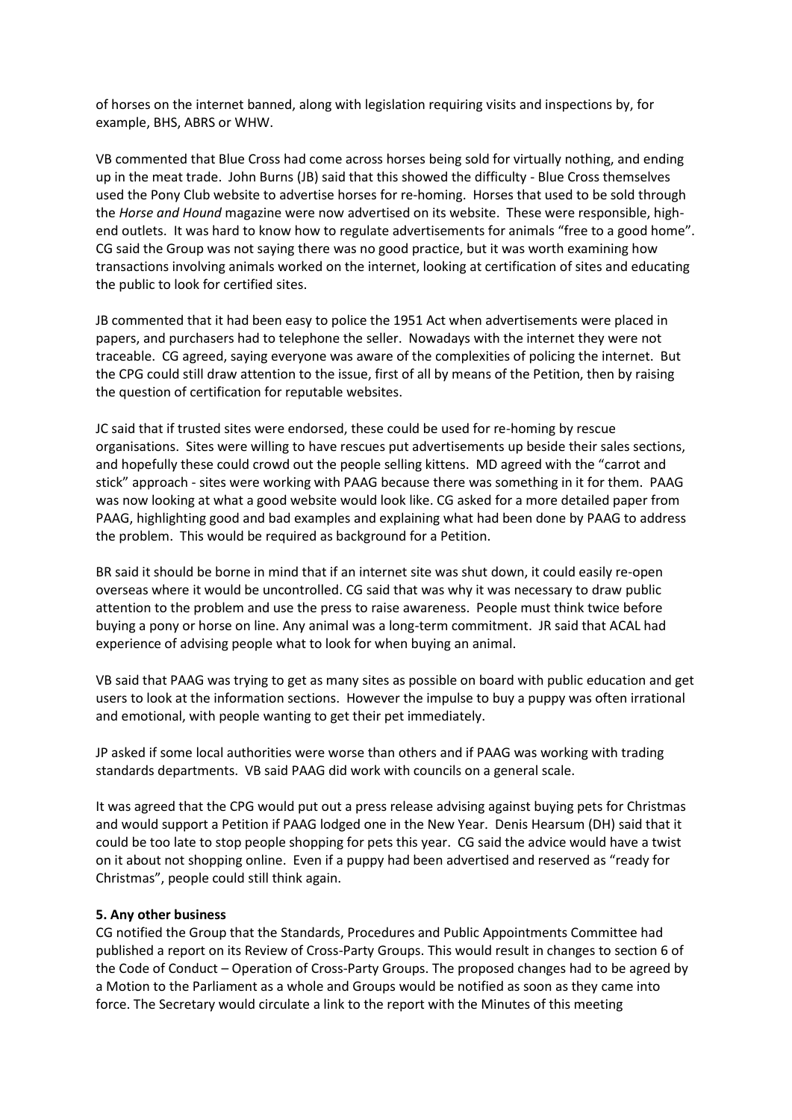of horses on the internet banned, along with legislation requiring visits and inspections by, for example, BHS, ABRS or WHW.

VB commented that Blue Cross had come across horses being sold for virtually nothing, and ending up in the meat trade. John Burns (JB) said that this showed the difficulty - Blue Cross themselves used the Pony Club website to advertise horses for re-homing. Horses that used to be sold through the *Horse and Hound* magazine were now advertised on its website. These were responsible, highend outlets. It was hard to know how to regulate advertisements for animals "free to a good home". CG said the Group was not saying there was no good practice, but it was worth examining how transactions involving animals worked on the internet, looking at certification of sites and educating the public to look for certified sites.

JB commented that it had been easy to police the 1951 Act when advertisements were placed in papers, and purchasers had to telephone the seller. Nowadays with the internet they were not traceable. CG agreed, saying everyone was aware of the complexities of policing the internet. But the CPG could still draw attention to the issue, first of all by means of the Petition, then by raising the question of certification for reputable websites.

JC said that if trusted sites were endorsed, these could be used for re-homing by rescue organisations. Sites were willing to have rescues put advertisements up beside their sales sections, and hopefully these could crowd out the people selling kittens. MD agreed with the "carrot and stick" approach - sites were working with PAAG because there was something in it for them. PAAG was now looking at what a good website would look like. CG asked for a more detailed paper from PAAG, highlighting good and bad examples and explaining what had been done by PAAG to address the problem. This would be required as background for a Petition.

BR said it should be borne in mind that if an internet site was shut down, it could easily re-open overseas where it would be uncontrolled. CG said that was why it was necessary to draw public attention to the problem and use the press to raise awareness. People must think twice before buying a pony or horse on line. Any animal was a long-term commitment. JR said that ACAL had experience of advising people what to look for when buying an animal.

VB said that PAAG was trying to get as many sites as possible on board with public education and get users to look at the information sections. However the impulse to buy a puppy was often irrational and emotional, with people wanting to get their pet immediately.

JP asked if some local authorities were worse than others and if PAAG was working with trading standards departments. VB said PAAG did work with councils on a general scale.

It was agreed that the CPG would put out a press release advising against buying pets for Christmas and would support a Petition if PAAG lodged one in the New Year. Denis Hearsum (DH) said that it could be too late to stop people shopping for pets this year. CG said the advice would have a twist on it about not shopping online. Even if a puppy had been advertised and reserved as "ready for Christmas", people could still think again.

#### **5. Any other business**

CG notified the Group that the Standards, Procedures and Public Appointments Committee had published a report on its Review of Cross-Party Groups. This would result in changes to section 6 of the Code of Conduct – Operation of Cross-Party Groups. The proposed changes had to be agreed by a Motion to the Parliament as a whole and Groups would be notified as soon as they came into force. The Secretary would circulate a link to the report with the Minutes of this meeting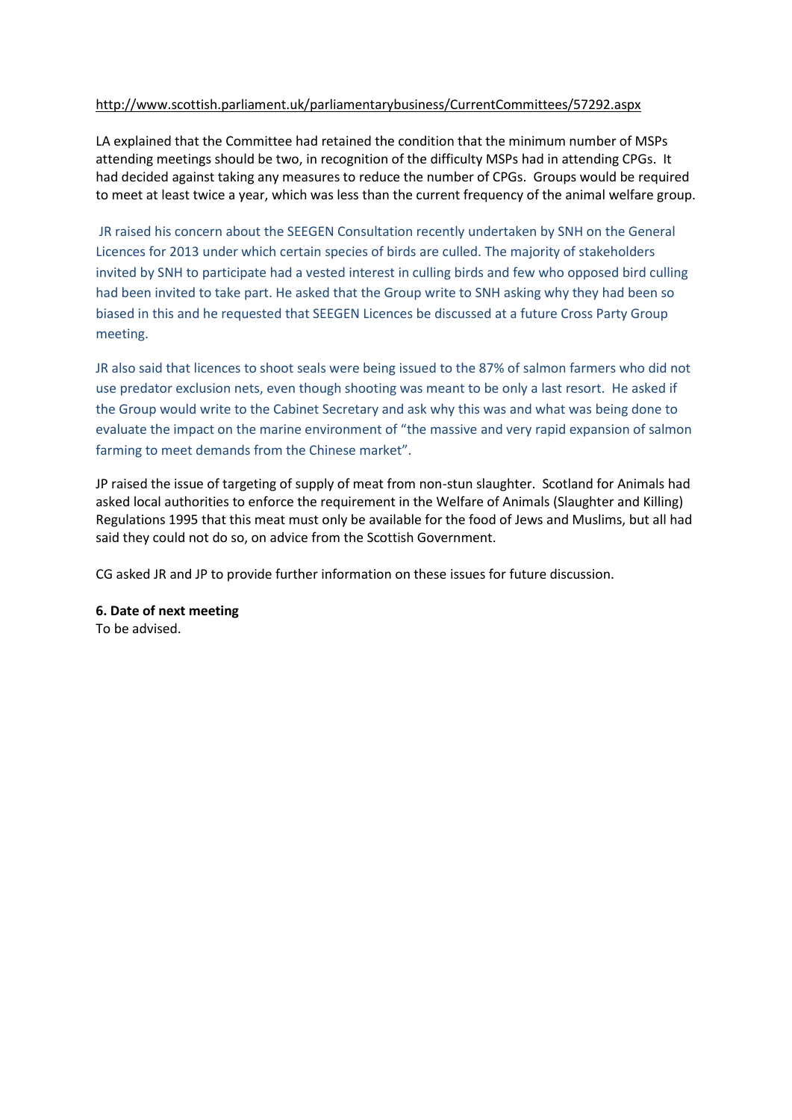### <http://www.scottish.parliament.uk/parliamentarybusiness/CurrentCommittees/57292.aspx>

LA explained that the Committee had retained the condition that the minimum number of MSPs attending meetings should be two, in recognition of the difficulty MSPs had in attending CPGs. It had decided against taking any measures to reduce the number of CPGs. Groups would be required to meet at least twice a year, which was less than the current frequency of the animal welfare group.

JR raised his concern about the SEEGEN Consultation recently undertaken by SNH on the General Licences for 2013 under which certain species of birds are culled. The majority of stakeholders invited by SNH to participate had a vested interest in culling birds and few who opposed bird culling had been invited to take part. He asked that the Group write to SNH asking why they had been so biased in this and he requested that SEEGEN Licences be discussed at a future Cross Party Group meeting.

JR also said that licences to shoot seals were being issued to the 87% of salmon farmers who did not use predator exclusion nets, even though shooting was meant to be only a last resort. He asked if the Group would write to the Cabinet Secretary and ask why this was and what was being done to evaluate the impact on the marine environment of "the massive and very rapid expansion of salmon farming to meet demands from the Chinese market".

JP raised the issue of targeting of supply of meat from non-stun slaughter. Scotland for Animals had asked local authorities to enforce the requirement in the Welfare of Animals (Slaughter and Killing) Regulations 1995 that this meat must only be available for the food of Jews and Muslims, but all had said they could not do so, on advice from the Scottish Government.

CG asked JR and JP to provide further information on these issues for future discussion.

# **6. Date of next meeting**

To be advised.